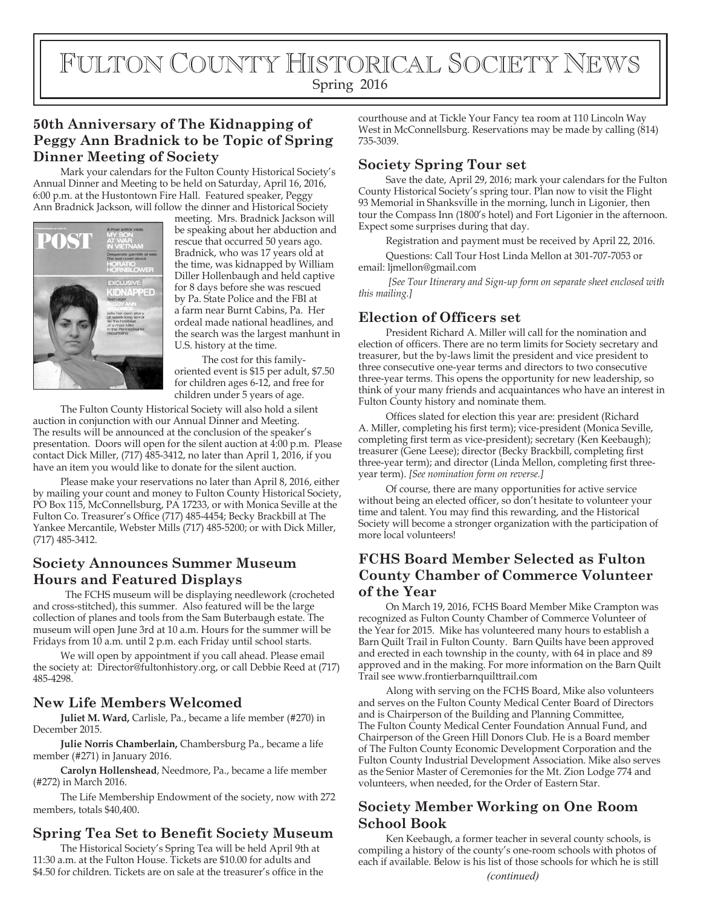FULTON COUNTY HISTORICAL SOCIETY NEWS Spring 2016

# **50th Anniversary of The Kidnapping of Peggy Ann Bradnick to be Topic of Spring Dinner Meeting of Society**

Mark your calendars for the Fulton County Historical Society's Annual Dinner and Meeting to be held on Saturday, April 16, 2016, 6:00 p.m. at the Hustontown Fire Hall. Featured speaker, Peggy Ann Bradnick Jackson, will follow the dinner and Historical Society



meeting. Mrs. Bradnick Jackson will be speaking about her abduction and rescue that occurred 50 years ago. Bradnick, who was 17 years old at the time, was kidnapped by William Diller Hollenbaugh and held captive for 8 days before she was rescued by Pa. State Police and the FBI at a farm near Burnt Cabins, Pa. Her ordeal made national headlines, and the search was the largest manhunt in U.S. history at the time.

The cost for this familyoriented event is \$15 per adult, \$7.50 for children ages 6-12, and free for children under 5 years of age.

The Fulton County Historical Society will also hold a silent auction in conjunction with our Annual Dinner and Meeting. The results will be announced at the conclusion of the speaker's presentation. Doors will open for the silent auction at 4:00 p.m. Please contact Dick Miller, (717) 485-3412, no later than April 1, 2016, if you have an item you would like to donate for the silent auction.

Please make your reservations no later than April 8, 2016, either by mailing your count and money to Fulton County Historical Society, PO Box 115, McConnellsburg, PA 17233, or with Monica Seville at the Fulton Co. Treasurer's Office (717) 485-4454; Becky Brackbill at The Yankee Mercantile, Webster Mills (717) 485-5200; or with Dick Miller, (717) 485-3412.

# **Society Announces Summer Museum Hours and Featured Displays**

 The FCHS museum will be displaying needlework (crocheted and cross-stitched), this summer. Also featured will be the large collection of planes and tools from the Sam Buterbaugh estate. The museum will open June 3rd at 10 a.m. Hours for the summer will be Fridays from 10 a.m. until 2 p.m. each Friday until school starts.

We will open by appointment if you call ahead. Please email the society at: Director@fultonhistory.org, or call Debbie Reed at (717) 485-4298.

#### **New Life Members Welcomed**

**Juliet M. Ward,** Carlisle, Pa., became a life member (#270) in December 2015.

**Julie Norris Chamberlain,** Chambersburg Pa., became a life member (#271) in January 2016.

**Carolyn Hollenshead**, Needmore, Pa., became a life member (#272) in March 2016.

The Life Membership Endowment of the society, now with 272 members, totals \$40,400.

#### **Spring Tea Set to Benefit Society Museum**

The Historical Society's Spring Tea will be held April 9th at 11:30 a.m. at the Fulton House. Tickets are \$10.00 for adults and \$4.50 for children. Tickets are on sale at the treasurer's office in the *(continued)* 

courthouse and at Tickle Your Fancy tea room at 110 Lincoln Way West in McConnellsburg. Reservations may be made by calling (814) 735-3039.

# **Society Spring Tour set**

Save the date, April 29, 2016; mark your calendars for the Fulton County Historical Society's spring tour. Plan now to visit the Flight 93 Memorial in Shanksville in the morning, lunch in Ligonier, then tour the Compass Inn (1800's hotel) and Fort Ligonier in the afternoon. Expect some surprises during that day.

Registration and payment must be received by April 22, 2016. Questions: Call Tour Host Linda Mellon at 301-707-7053 or email: ljmellon@gmail.com

*[See Tour Itinerary and Sign-up form on separate sheet enclosed with this mailing.]*

#### **Election of Officers set**

President Richard A. Miller will call for the nomination and election of officers. There are no term limits for Society secretary and treasurer, but the by-laws limit the president and vice president to three consecutive one-year terms and directors to two consecutive three-year terms. This opens the opportunity for new leadership, so think of your many friends and acquaintances who have an interest in Fulton County history and nominate them.

Offices slated for election this year are: president (Richard A. Miller, completing his first term); vice-president (Monica Seville, completing first term as vice-president); secretary (Ken Keebaugh); treasurer (Gene Leese); director (Becky Brackbill, completing first three-year term); and director (Linda Mellon, completing first threeyear term). *[See nomination form on reverse.]*

Of course, there are many opportunities for active service without being an elected officer, so don't hesitate to volunteer your time and talent. You may find this rewarding, and the Historical Society will become a stronger organization with the participation of more local volunteers!

## **FCHS Board Member Selected as Fulton County Chamber of Commerce Volunteer of the Year**

On March 19, 2016, FCHS Board Member Mike Crampton was recognized as Fulton County Chamber of Commerce Volunteer of the Year for 2015. Mike has volunteered many hours to establish a Barn Quilt Trail in Fulton County. Barn Quilts have been approved and erected in each township in the county, with 64 in place and 89 approved and in the making. For more information on the Barn Quilt Trail see www.frontierbarnquilttrail.com

Along with serving on the FCHS Board, Mike also volunteers and serves on the Fulton County Medical Center Board of Directors and is Chairperson of the Building and Planning Committee, The Fulton County Medical Center Foundation Annual Fund, and Chairperson of the Green Hill Donors Club. He is a Board member of The Fulton County Economic Development Corporation and the Fulton County Industrial Development Association. Mike also serves as the Senior Master of Ceremonies for the Mt. Zion Lodge 774 and volunteers, when needed, for the Order of Eastern Star.

# **Society Member Working on One Room School Book**

Ken Keebaugh, a former teacher in several county schools, is compiling a history of the county's one-room schools with photos of each if available. Below is his list of those schools for which he is still